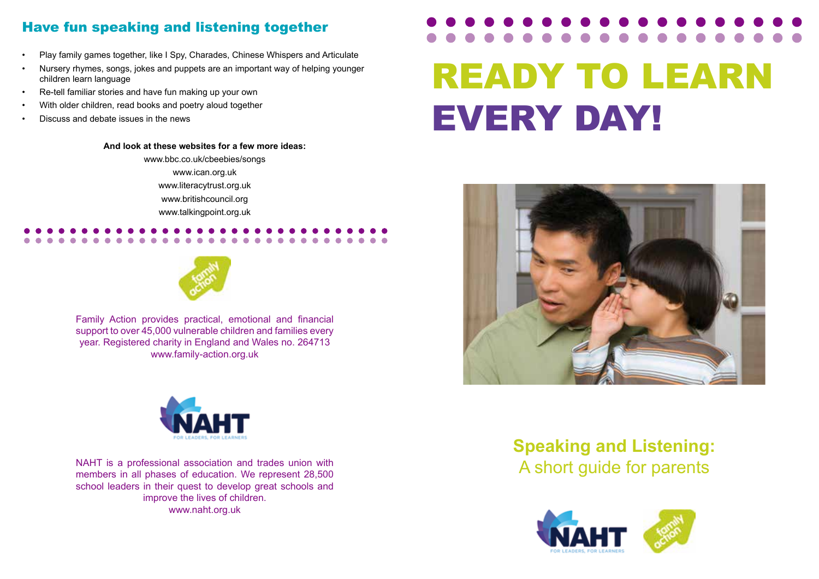# Have fun speaking and listening together

- Play family games together, like I Spy, Charades, Chinese Whispers and Articulate
- Nursery rhymes, songs, jokes and puppets are an important way of helping younger children learn language
- Re-tell familiar stories and have fun making up your own
- With older children, read books and poetry aloud together
- Discuss and debate issues in the news

# **And look at these websites for a few more ideas:**

www.bbc.co.uk/cbeebies/songs www.ican.org.uk www.literacytrust.org.uk www.britishcouncil.org www.talkingpoint.org.uk



Family Action provides practical, emotional and financial support to over 45,000 vulnerable children and families every year. Registered charity in England and Wales no. 264713 www.family-action.org.uk



NAHT is a professional association and trades union with<br>
Material phases of education We represent 28,500 members in all phases of education. We represent 28,500 school leaders in their quest to develop great schools and improve the lives of children. www.naht.org.uk

# READY TO LEARN EVERY DAY!



# **Speaking and Listening:**